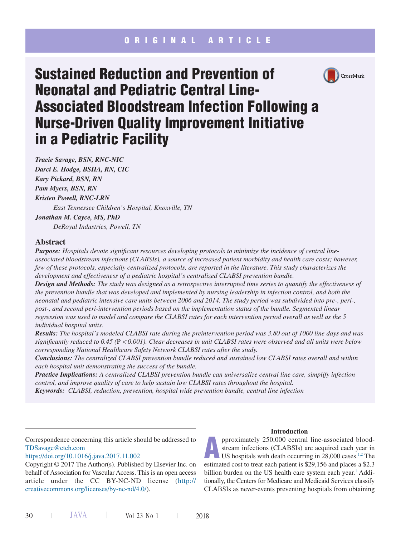# **ORIGINAL ARTICLE**



*Tracie Savage, BSN, RNC-NIC Darci E. Hodge, BSHA, RN, CIC Kary Pickard, BSN, RN Pam Myers, BSN, RN Kristen Powell, RNC-LRN East Tennessee Children's Hospital, Knoxville, TN*

*Jonathan M. Cayce, MS, PhD*

*DeRoyal Industries, Powell, TN*

# **Abstract**

*Purpose: Hospitals devote significant resources developing protocols to minimize the incidence of central lineassociated bloodstream infections (CLABSIs), a source of increased patient morbidity and health care costs; however, few of these protocols, especially centralized protocols, are reported in the literature. This study characterizes the development and effectiveness of a pediatric hospital's centralized CLABSI prevention bundle.*

*Design and Methods: The study was designed as a retrospective interrupted time series to quantify the effectiveness of the prevention bundle that was developed and implemented by nursing leadership in infection control, and both the neonatal and pediatric intensive care units between 2006 and 2014. The study period was subdivided into pre-, peri-, post-, and second peri-intervention periods based on the implementation status of the bundle. Segmented linear regression was used to model and compare the CLABSI rates for each intervention period overall as well as the 5 individual hospital units.*

*Results: The hospital's modeled CLABSI rate during the preintervention period was 3.80 out of 1000 line days and was significantly reduced to 0.45 (*P *< 0.001). Clear decreases in unit CLABSI rates were observed and all units were below corresponding National Healthcare Safety Network CLABSI rates after the study.*

*Conclusions: The centralized CLABSI prevention bundle reduced and sustained low CLABSI rates overall and within each hospital unit demonstrating the success of the bundle.*

*Practice Implications: A centralized CLABSI prevention bundle can universalize central line care, simplify infection control, and improve quality of care to help sustain low CLABSI rates throughout the hospital.*

*Keywords: CLABSI, reduction, prevention, hospital wide prevention bundle, central line infection*

Correspondence concerning this article should be addressed to [TDSavage@etch.com](mailto:TDSavage@etch.com)

# https://doi.org/10.1016/j.java.2017.11.002

Copyright © 2017 The Author(s). Published by Elsevier Inc. on behalf of Association for Vascular Access. This is an open access article under the CC BY-NC-ND license (http:// creativecommons.org/licenses/by-nc-nd/4.0/).

## **Introduction**

CrossMark

**A**pproximately 250,000 central line-associated bloodstream infections (CLABSIs) are acquired each year in US hospitals with death occurring in  $28,000$  cases.<sup>1,2</sup> The estimated cost to treat each patient is \$29,156 and places a \$2.3 billion burden on the US health care system each year.<sup>1</sup> Additionally, the Centers for Medicare and Medicaid Services classify CLABSIs as never-events preventing hospitals from obtaining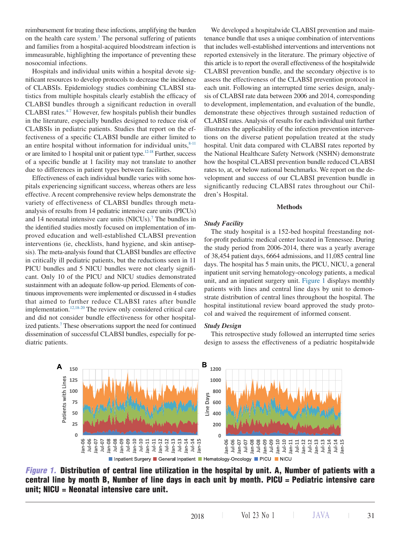reimbursement for treating these infections, amplifying the burden on the health care system[.3](#page-9-1) The personal suffering of patients and families from a hospital-acquired bloodstream infection is immeasurable, highlighting the importance of preventing these nosocomial infections.

Hospitals and individual units within a hospital devote significant resources to develop protocols to decrease the incidence of CLABSIs. Epidemiology studies combining CLABSI statistics from multiple hospitals clearly establish the efficacy of CLABSI bundles through a significant reduction in overall CLABSI rates. $4-7$  However, few hospitals publish their bundles in the literature, especially bundles designed to reduce risk of CLABSIs in pediatric patients. Studies that report on the effectiveness of a specific CLABSI bundle are either limited to an entire hospital without information for individual units, $8-11$ or are limited to 1 hospital unit or patient type[.12-18](#page-9-4) Further, success of a specific bundle at 1 facility may not translate to another due to differences in patient types between facilities.

Effectiveness of each individual bundle varies with some hospitals experiencing significant success, whereas others are less effective. A recent comprehensive review helps demonstrate the variety of effectiveness of CLABSI bundles through metaanalysis of results from 14 pediatric intensive care units (PICUs) and 14 neonatal intensive care units (NICUs).<sup>7</sup> The bundles in the identified studies mostly focused on implementation of improved education and well-established CLABSI prevention interventions (ie, checklists, hand hygiene, and skin antisepsis). The meta-analysis found that CLABSI bundles are effective in critically ill pediatric patients, but the reductions seen in 11 PICU bundles and 5 NICU bundles were not clearly significant. Only 10 of the PICU and NICU studies demonstrated sustainment with an adequate follow-up period. Elements of continuous improvements were implemented or discussed in 4 studies that aimed to further reduce CLABSI rates after bundle implementation.<sup>12,18-20</sup> The review only considered critical care and did not consider bundle effectiveness for other hospitalized patients.<sup>7</sup> These observations support the need for continued dissemination of successful CLABSI bundles, especially for pediatric patients.

We developed a hospitalwide CLABSI prevention and maintenance bundle that uses a unique combination of interventions that includes well-established interventions and interventions not reported extensively in the literature. The primary objective of this article is to report the overall effectiveness of the hospitalwide CLABSI prevention bundle, and the secondary objective is to assess the effectiveness of the CLABSI prevention protocol in each unit. Following an interrupted time series design, analysis of CLABSI rate data between 2006 and 2014, corresponding to development, implementation, and evaluation of the bundle, demonstrate these objectives through sustained reduction of CLABSI rates. Analysis of results for each individual unit further illustrates the applicability of the infection prevention interventions on the diverse patient population treated at the study hospital. Unit data compared with CLABSI rates reported by the National Healthcare Safety Network (NSHN) demonstrate how the hospital CLABSI prevention bundle reduced CLABSI rates to, at, or below national benchmarks. We report on the development and success of our CLABSI prevention bundle in significantly reducing CLABSI rates throughout our Children's Hospital.

#### **Methods**

#### *Study Facility*

The study hospital is a 152-bed hospital freestanding notfor-profit pediatric medical center located in Tennessee. During the study period from 2006-2014, there was a yearly average of 38,454 patient days, 6664 admissions, and 11,085 central line days. The hospital has 5 main units, the PICU, NICU, a general inpatient unit serving hematology-oncology patients, a medical unit, and an inpatient surgery unit. [Figure 1](#page-1-0) displays monthly patients with lines and central line days by unit to demonstrate distribution of central lines throughout the hospital. The hospital institutional review board approved the study protocol and waived the requirement of informed consent.

#### *Study Design*

This retrospective study followed an interrupted time series design to assess the effectiveness of a pediatric hospitalwide



<span id="page-1-0"></span>*Figure 1.* **Distribution of central line utilization in the hospital by unit. A, Number of patients with a central line by month B, Number of line days in each unit by month. PICU = Pediatric intensive care unit; NICU = Neonatal intensive care unit.**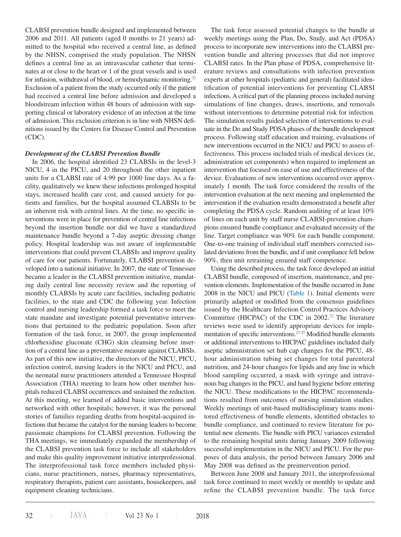CLABSI prevention bundle designed and implemented between 2006 and 2011. All patients (aged 0 months to 21 years) admitted to the hospital who received a central line, as defined by the NHSN, comprised the study population. The NHSN defines a central line as an intravascular catheter that terminates at or close to the heart or 1 of the great vessels and is used for infusion, withdrawal of blood, or hemodynamic monitoring.<sup>21</sup> Exclusion of a patient from the study occurred only if the patient had received a central line before admission and developed a bloodstream infection within 48 hours of admission with supporting clinical or laboratory evidence of an infection at the time of admission. This exclusion criterion is in line with NHSN definitions issued by the Centers for Disease Control and Prevention (CDC).

#### *Development of the CLABSI Prevention Bundle*

In 2006, the hospital identified 23 CLABSIs in the level-3 NICU, 4 in the PICU, and 20 throughout the other inpatient units for a CLABSI rate of 4.99 per 1000 line days. As a facility, qualitatively we knew these infections prolonged hospital stays, increased health care cost, and caused anxiety for patients and families, but the hospital assumed CLABSIs to be an inherent risk with central lines. At the time, no specific interventions were in place for prevention of central line infections beyond the insertion bundle nor did we have a standardized maintenance bundle beyond a 7-day aseptic dressing change policy. Hospital leadership was not aware of implementable interventions that could prevent CLABSIs and improve quality of care for our patients. Fortunately, CLABSI prevention developed into a national initiative. In 2007, the state of Tennessee became a leader in the CLABSI prevention initiative, mandating daily central line necessity review and the reporting of monthly CLABSIs by acute care facilities, including pediatric facilities, to the state and CDC the following year. Infection control and nursing leadership formed a task force to meet the state mandate and investigate potential preventative interventions that pertained to the pediatric population. Soon after formation of the task force, in 2007, the group implemented chlorhexidine gluconate (CHG) skin cleansing before insertion of a central line as a preventative measure against CLABSIs. As part of this new initiative, the directors of the NICU, PICU, infection control, nursing leaders in the NICU and PICU, and the neonatal nurse practitioners attended a Tennessee Hospital Association (THA) meeting to learn how other member hospitals reduced CLABSI occurrences and sustained the reduction. At this meeting, we learned of added basic interventions and networked with other hospitals; however, it was the personal stories of families regarding deaths from hospital-acquired infections that became the catalyst for the nursing leaders to become passionate champions for CLABSI prevention. Following the THA meetings, we immediately expanded the membership of the CLABSI prevention task force to include all stakeholders and make this quality improvement initiative interprofessional. The interprofessional task force members included physicians, nurse practitioners, nurses, pharmacy representatives, respiratory therapists, patient care assistants, housekeepers, and equipment cleaning technicians.

The task force assessed potential changes to the bundle at weekly meetings using the Plan, Do, Study, and Act (PDSA) process to incorporate new interventions into the CLABSI prevention bundle and altering processes that did not improve CLABSI rates. In the Plan phase of PDSA, comprehensive literature reviews and consultations with infection prevention experts at other hospitals (pediatric and general) facilitated identification of potential interventions for preventing CLABSI infections. A critical part of the planning process included nursing simulations of line changes, draws, insertions, and removals without interventions to determine potential risk for infection. The simulation results guided selection of interventions to evaluate in the Do and Study PDSA phases of the bundle development process. Following staff education and training, evaluations of new interventions occurred in the NICU and PICU to assess effectiveness. This process included trials of medical devices (ie, administration set components) when required to implement an intervention that focused on ease of use and effectiveness of the device. Evaluations of new interventions occurred over approximately 1 month. The task force considered the results of the intervention evaluation at the next meeting and implemented the intervention if the evaluation results demonstrated a benefit after completing the PDSA cycle. Random auditing of at least 10% of lines on each unit by staff nurse CLABSI-prevention champions ensured bundle compliance and evaluated necessity of the line. Target compliance was 90% for each bundle component. One-to-one training of individual staff members corrected isolated deviations from the bundle, and if unit compliance fell below 90%, then unit retraining ensured staff competence.

Using the described process, the task force developed an initial CLABSI bundle, composed of insertion, maintenance, and prevention elements. Implementation of the bundle occurred in June 2008 in the NICU and PICU [\(Table 1\)](#page-3-0). Initial elements were primarily adapted or modified from the consensus guidelines issued by the Healthcare Infection Control Practices Advisory Committee (HICPAC) of the CDC in  $2002<sup>22</sup>$  The literature reviews were used to identify appropriate devices for implementation of specific interventions[.23-25](#page-10-2) Modified bundle elements or additional interventions to HICPAC guidelines included daily aseptic administration set hub cap changes for the PICU, 48 hour administration tubing set changes for total parenteral nutrition, and 24-hour changes for lipids and any line in which blood sampling occurred, a mask with syringe and intravenous bag changes in the PICU, and hand hygiene before entering the NICU. These modifications to the HICPAC recommendations resulted from outcomes of nursing simulation studies. Weekly meetings of unit-based multidisciplinary teams monitored effectiveness of bundle elements, identified obstacles to bundle compliance, and continued to review literature for potential new elements. The bundle with PICU variances extended to the remaining hospital units during January 2009 following successful implementation in the NICU and PICU. For the purposes of data analysis, the period between January 2006 and May 2008 was defined as the preintervention period.

Between June 2008 and January 2011, the interprofessional task force continued to meet weekly or monthly to update and refine the CLABSI prevention bundle. The task force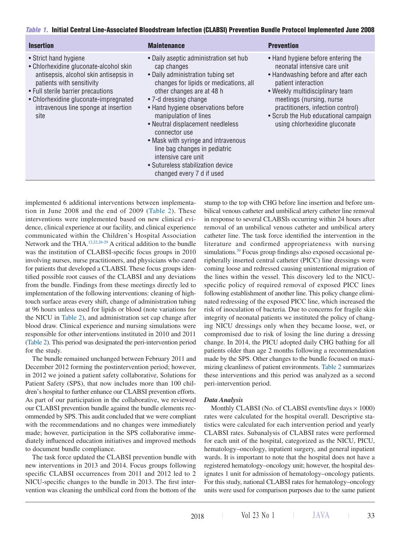# <span id="page-3-0"></span>*Table 1.* **Initial Central Line-Associated Bloodstream Infection (CLABSI) Prevention Bundle Protocol Implemented June 2008**

| <b>Insertion</b>                                                                                                                                                                                                                                                      | <b>Maintenance</b>                                                                                                                                                                                                                                                                                                                                                                                                                                                               | <b>Prevention</b>                                                                                                                                                                                                                                                                                             |
|-----------------------------------------------------------------------------------------------------------------------------------------------------------------------------------------------------------------------------------------------------------------------|----------------------------------------------------------------------------------------------------------------------------------------------------------------------------------------------------------------------------------------------------------------------------------------------------------------------------------------------------------------------------------------------------------------------------------------------------------------------------------|---------------------------------------------------------------------------------------------------------------------------------------------------------------------------------------------------------------------------------------------------------------------------------------------------------------|
| • Strict hand hygiene<br>• Chlorhexidine gluconate-alcohol skin<br>antisepsis, alcohol skin antisepsis in<br>patients with sensitivity<br>• Full sterile barrier precautions<br>• Chlorhexidine gluconate-impregnated<br>intravenous line sponge at insertion<br>site | • Daily aseptic administration set hub<br>cap changes<br>• Daily administration tubing set<br>changes for lipids or medications, all<br>other changes are at 48 h<br>• 7-d dressing change<br>• Hand hygiene observations before<br>manipulation of lines<br>• Neutral displacement needleless<br>connector use<br>• Mask with syringe and intravenous<br>line bag changes in pediatric<br>intensive care unit<br>• Sutureless stabilization device<br>changed every 7 d if used | • Hand hygiene before entering the<br>neonatal intensive care unit<br>• Handwashing before and after each<br>patient interaction<br>• Weekly multidisciplinary team<br>meetings (nursing, nurse<br>practitioners, infection control)<br>• Scrub the Hub educational campaign<br>using chlorhexidine gluconate |

implemented 6 additional interventions between implementation in June 2008 and the end of 2009 [\(Table 2\)](#page-4-0). These interventions were implemented based on new clinical evidence, clinical experience at our facility, and clinical experience communicated within the Children's Hospital Association Network and the THA[.12,22,26-29](#page-9-4) A critical addition to the bundle was the institution of CLABSI-specific focus groups in 2010 involving nurses, nurse practitioners, and physicians who cared for patients that developed a CLABSI. These focus groups identified possible root causes of the CLABSI and any deviations from the bundle. Findings from these meetings directly led to implementation of the following interventions: cleaning of hightouch surface areas every shift, change of administration tubing at 96 hours unless used for lipids or blood (note variations for the NICU in [Table 2\)](#page-4-0), and administration set cap change after blood draw. Clinical experience and nursing simulations were responsible for other interventions instituted in 2010 and 2011 [\(Table 2\)](#page-4-0). This period was designated the peri-intervention period for the study.

The bundle remained unchanged between February 2011 and December 2012 forming the postintervention period; however, in 2012 we joined a patient safety collaborative, Solutions for Patient Safety (SPS), that now includes more than 100 children's hospital to further enhance our CLABSI prevention efforts. As part of our participation in the collaborative, we reviewed our CLABSI prevention bundle against the bundle elements recommended by SPS. This audit concluded that we were compliant with the recommendations and no changes were immediately made; however, participation in the SPS collaborative immediately influenced education initiatives and improved methods to document bundle compliance.

The task force updated the CLABSI prevention bundle with new interventions in 2013 and 2014. Focus groups following specific CLABSI occurrences from 2011 and 2012 led to 2 NICU-specific changes to the bundle in 2013. The first intervention was cleaning the umbilical cord from the bottom of the

stump to the top with CHG before line insertion and before umbilical venous catheter and umbilical artery catheter line removal in response to several CLABSIs occurring within 24 hours after removal of an umbilical venous catheter and umbilical artery catheter line. The task force identified the intervention in the literature and confirmed appropriateness with nursing simulations.<sup>30</sup> Focus group findings also exposed occasional peripherally inserted central catheter (PICC) line dressings were coming loose and redressed causing unintentional migration of the lines within the vessel. This discovery led to the NICUspecific policy of required removal of exposed PICC lines following establishment of another line. This policy change eliminated redressing of the exposed PICC line, which increased the risk of inoculation of bacteria. Due to concerns for fragile skin integrity of neonatal patients we instituted the policy of changing NICU dressings only when they became loose, wet, or compromised due to risk of losing the line during a dressing change. In 2014, the PICU adopted daily CHG bathing for all patients older than age 2 months following a recommendation made by the SPS. Other changes to the bundle focused on maximizing cleanliness of patient environments. [Table 2](#page-4-0) summarizes these interventions and this period was analyzed as a second peri-intervention period.

# *Data Analysis*

Monthly CLABSI (No. of CLABSI events/line days  $\times$  1000) rates were calculated for the hospital overall. Descriptive statistics were calculated for each intervention period and yearly CLABSI rates. Subanalysis of CLABSI rates were performed for each unit of the hospital, categorized as the NICU, PICU, hematology–oncology, inpatient surgery, and general inpatient wards. It is important to note that the hospital does not have a registered hematology–oncology unit; however, the hospital designates 1 unit for admission of hematology–oncology patients. For this study, national CLABSI rates for hematology–oncology units were used for comparison purposes due to the same patient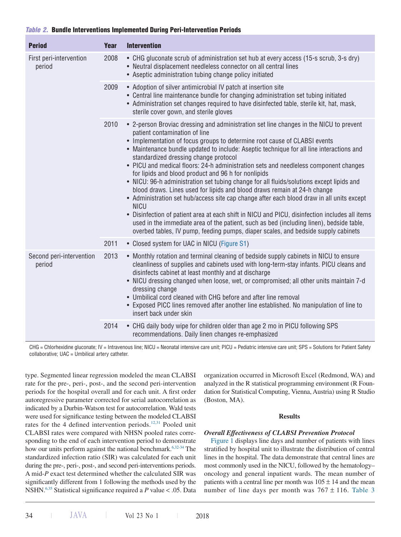#### <span id="page-4-0"></span>*Table 2.* **Bundle Interventions Implemented During Peri-Intervention Periods**

| <b>Period</b>                      | <b>Year</b> | <b>Intervention</b>                                                                                                                                                                                                                                                                                                                                                                                                                                                                                                                                                                                                                                                                                                                                                                                                                                                                                                                                                                                                                                              |
|------------------------------------|-------------|------------------------------------------------------------------------------------------------------------------------------------------------------------------------------------------------------------------------------------------------------------------------------------------------------------------------------------------------------------------------------------------------------------------------------------------------------------------------------------------------------------------------------------------------------------------------------------------------------------------------------------------------------------------------------------------------------------------------------------------------------------------------------------------------------------------------------------------------------------------------------------------------------------------------------------------------------------------------------------------------------------------------------------------------------------------|
| First peri-intervention<br>period  | 2008        | • CHG gluconate scrub of administration set hub at every access (15-s scrub, 3-s dry)<br>• Neutral displacement needleless connector on all central lines<br>• Aseptic administration tubing change policy initiated                                                                                                                                                                                                                                                                                                                                                                                                                                                                                                                                                                                                                                                                                                                                                                                                                                             |
|                                    | 2009        | • Adoption of silver antimicrobial IV patch at insertion site<br>• Central line maintenance bundle for changing administration set tubing initiated<br>• Administration set changes required to have disinfected table, sterile kit, hat, mask,<br>sterile cover gown, and sterile gloves                                                                                                                                                                                                                                                                                                                                                                                                                                                                                                                                                                                                                                                                                                                                                                        |
|                                    | 2010        | • 2-person Broviac dressing and administration set line changes in the NICU to prevent<br>patient contamination of line<br>• Implementation of focus groups to determine root cause of CLABSI events<br>• Maintenance bundle updated to include: Aseptic technique for all line interactions and<br>standardized dressing change protocol<br>• PICU and medical floors: 24-h administration sets and needleless component changes<br>for lipids and blood product and 96 h for nonlipids<br>• NICU: 96-h administration set tubing change for all fluids/solutions except lipids and<br>blood draws. Lines used for lipids and blood draws remain at 24-h change<br>• Administration set hub/access site cap change after each blood draw in all units except<br><b>NICU</b><br>• Disinfection of patient area at each shift in NICU and PICU, disinfection includes all items<br>used in the immediate area of the patient, such as bed (including linen), bedside table,<br>overbed tables, IV pump, feeding pumps, diaper scales, and bedside supply cabinets |
|                                    | 2011        | • Closed system for UAC in NICU (Figure S1)                                                                                                                                                                                                                                                                                                                                                                                                                                                                                                                                                                                                                                                                                                                                                                                                                                                                                                                                                                                                                      |
| Second peri-intervention<br>period | 2013        | • Monthly rotation and terminal cleaning of bedside supply cabinets in NICU to ensure<br>cleanliness of supplies and cabinets used with long-term-stay infants. PICU cleans and<br>disinfects cabinet at least monthly and at discharge<br>. NICU dressing changed when loose, wet, or compromised; all other units maintain 7-d<br>dressing change<br>• Umbilical cord cleaned with CHG before and after line removal<br>• Exposed PICC lines removed after another line established. No manipulation of line to<br>insert back under skin                                                                                                                                                                                                                                                                                                                                                                                                                                                                                                                      |
|                                    | 2014        | • CHG daily body wipe for children older than age 2 mo in PICU following SPS<br>recommendations. Daily linen changes re-emphasized                                                                                                                                                                                                                                                                                                                                                                                                                                                                                                                                                                                                                                                                                                                                                                                                                                                                                                                               |

CHG = Chlorhexidine gluconate; IV = Intravenous line; NICU = Neonatal intensive care unit; PICU = Pediatric intensive care unit; SPS = Solutions for Patient Safety collaborative; UAC = Umbilical artery catheter.

type. Segmented linear regression modeled the mean CLABSI rate for the pre-, peri-, post-, and the second peri-intervention periods for the hospital overall and for each unit. A first order autoregressive parameter corrected for serial autocorrelation as indicated by a Durbin-Watson test for autocorrelation. Wald tests were used for significance testing between the modeled CLABSI rates for the 4 defined intervention periods. $12,31$  Pooled unit CLABSI rates were compared with NHSN pooled rates corresponding to the end of each intervention period to demonstrate how our units perform against the national benchmark.<sup>6,32-34</sup> The standardized infection ratio (SIR) was calculated for each unit during the pre-, peri-, post-, and second peri-interventions periods. A mid-*P* exact test determined whether the calculated SIR was significantly different from 1 following the methods used by the NSHN[.6,35](#page-9-6) Statistical significance required a *P* value < .05. Data organization occurred in Microsoft Excel (Redmond, WA) and analyzed in the R statistical programming environment (R Foundation for Statistical Computing, Vienna, Austria) using R Studio (Boston, MA).

# **Results**

#### *Overall Effectiveness of CLABSI Prevention Protocol*

[Figure 1](#page-1-0) displays line days and number of patients with lines stratified by hospital unit to illustrate the distribution of central lines in the hospital. The data demonstrate that central lines are most commonly used in the NICU, followed by the hematology– oncology and general inpatient wards. The mean number of patients with a central line per month was  $105 \pm 14$  and the mean number of line days per month was  $767 \pm 116$ . [Table 3](#page-5-0)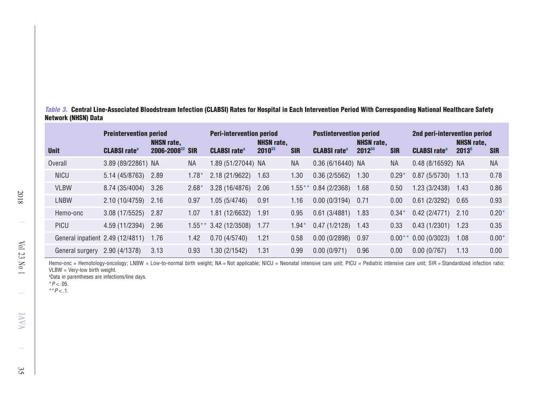|                                  | <b>Preintervention period</b><br><b>NHSN</b> rate, |                             | <b>Peri-intervention period</b><br><b>NHSN</b> rate, |                                | <b>Postintervention period</b><br><b>NHSN</b> rate, |                |                                | 2nd peri-intervention period<br><b>NHSN</b> rate, |                |                                |                          |            |
|----------------------------------|----------------------------------------------------|-----------------------------|------------------------------------------------------|--------------------------------|-----------------------------------------------------|----------------|--------------------------------|---------------------------------------------------|----------------|--------------------------------|--------------------------|------------|
| <b>Unit</b>                      | <b>CLABSI rate<sup>a</sup></b>                     | 2006-2008 <sup>32</sup> SIR |                                                      | <b>CLABSI rate<sup>a</sup></b> | 201033                                              | <b>SIR</b>     | <b>CLABSI rate<sup>a</sup></b> | $2012^{34}$                                       | <b>SIR</b>     | <b>CLABSI rate<sup>a</sup></b> | <b>2013</b> <sup>6</sup> | <b>SIR</b> |
| <b>Overall</b>                   | 3.89 (89/22861) NA                                 |                             | <b>NA</b>                                            | 1.89 (51/27044) NA             |                                                     | <b>NA</b>      | 0.36 (6/16440) NA              |                                                   | <b>NA</b>      | 0.48 (8/16592) NA              |                          | <b>NA</b>  |
| <b>NICU</b>                      | 5.14 (45/8763)                                     | 2.89                        | $1.78*$                                              | 2.18 (21/9622)                 | 1.63                                                | 1.30           | 0.36(2/5562)                   | 1.30                                              | 0.29           | 0.87(5/5730)                   | 1.13                     | 0.78       |
| <b>VLBW</b>                      | 8.74 (35/4004)                                     | 3.26                        | $2.68*$                                              | 3.28 (16/4876)                 | 2.06                                                | $1.55^{\circ}$ | 0.84(2/2368)                   | 1.68                                              | 0.50           | 1.23 (3/2438)                  | 1.43                     | 0.86       |
| <b>LNBW</b>                      | 2.10 (10/4759)                                     | 2.16                        | 0.97                                                 | 1.05(5/4746)                   | 0.91                                                | 1.16           | 0.00(0/3194)                   | 0.71                                              | 0.00           | 0.61(2/3292)                   | 0.65                     | 0.93       |
| Hemo-onc                         | 3.08(17/5525)                                      | 2.87                        | 1.07                                                 | 1.81 (12/6632)                 | 1.91                                                | 0.95           | 0.61(3/4881)                   | 1.83                                              | $0.34^{\circ}$ | $0.42(2/4771)$ 2.10            |                          | $0.20*$    |
| <b>PICU</b>                      | 4.59 (11/2394)                                     | 2.96                        | $1.55*$                                              | 3.42 (12/3508)                 | 1.77                                                | 1.94'          | 0.47(1/2128)                   | 1.43                                              | 0.33           | 0.43(1/2301)                   | 1.23                     | 0.35       |
| General inpatient 2.49 (12/4811) |                                                    | 1.76                        | 1.42                                                 | 0.70(4/5740)                   | 1.21                                                | 0.58           | 0.00(0/2898)                   | 0.97                                              | $0.00**$       | 0.00(0/3023)                   | 1.08                     | $0.00*$    |
| General surgery                  | 2.90 (4/1378)                                      | 3.13                        | 0.93                                                 | 1.30 (2/1542)                  | 1.31                                                | 0.99           | 0.00(0/971)                    | 0.96                                              | 0.00           | 0.00(0/767)                    | 1.13                     | 0.00       |

*Table 3. C*entral Line-Associated Bloodstream Infection (CLABSI) Rates for Hospital in Each Intervention Period With Corresponding National Healthcare Safety

Hemo-onc = Hemotology-oncology; LNBW = Low-to-normal birth weight; NA = Not applicable; NICU = Neonatal intensive care unit; PICU = Pediatric intensive care unit; SIR = Standardized infection ratio;

VLBW <sup>=</sup> Very-low birth weight.

<span id="page-5-3"></span><span id="page-5-2"></span><span id="page-5-1"></span>**Network (NHSN) Data**

aData in parentheses are infections/line days.

 $*P < .05$ .

<span id="page-5-0"></span>\*\**P* <sup>&</sup>lt; .1.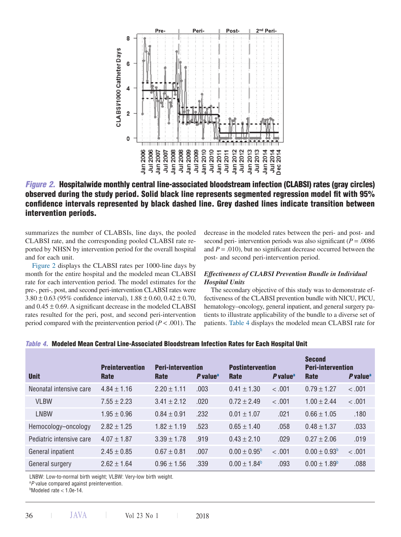

# <span id="page-6-0"></span>*Figure 2.* **Hospitalwide monthly central line-associated bloodstream infection (CLABSI) rates (gray circles) observed during the study period. Solid black line represents segmented regression model fit with 95% confidence intervals represented by black dashed line. Grey dashed lines indicate transition between intervention periods.**

summarizes the number of CLABSIs, line days, the pooled CLABSI rate, and the corresponding pooled CLABSI rate reported by NHSN by intervention period for the overall hospital and for each unit.

[Figure 2](#page-6-0) displays the CLABSI rates per 1000-line days by month for the entire hospital and the modeled mean CLABSI rate for each intervention period. The model estimates for the pre-, peri-, post, and second peri-intervention CLABSI rates were  $3.80 \pm 0.63$  (95% confidence interval),  $1.88 \pm 0.60$ ,  $0.42 \pm 0.70$ , and  $0.45 \pm 0.69$ . A significant decrease in the modeled CLABSI rates resulted for the peri, post, and second peri-intervention period compared with the preintervention period  $(P < .001)$ . The decrease in the modeled rates between the peri- and post- and second peri- intervention periods was also significant (*P* = .0086 and  $P = .010$ ), but no significant decrease occurred between the post- and second peri-intervention period.

# *Effectiveness of CLABSI Prevention Bundle in Individual Hospital Units*

The secondary objective of this study was to demonstrate effectiveness of the CLABSI prevention bundle with NICU, PICU, hematology–oncology, general inpatient, and general surgery patients to illustrate applicability of the bundle to a diverse set of patients. [Table 4](#page-6-1) displays the modeled mean CLABSI rate for

<span id="page-6-1"></span>

|  | Table 4. Modeled Mean Central Line-Associated Bloodstream Infection Rates for Each Hospital Unit |  |  |  |  |  |  |  |  |
|--|--------------------------------------------------------------------------------------------------|--|--|--|--|--|--|--|--|
|--|--------------------------------------------------------------------------------------------------|--|--|--|--|--|--|--|--|

|                          | <b>Preintervention</b> | <b>Peri-intervention</b> |                      | <b>Postintervention</b> |                        | <b>Second</b><br><b>Peri-intervention</b> |                        |  |
|--------------------------|------------------------|--------------------------|----------------------|-------------------------|------------------------|-------------------------------------------|------------------------|--|
| <b>Unit</b>              | Rate                   | Rate                     | P value <sup>a</sup> | Rate                    | $P$ value <sup>a</sup> | Rate                                      | $P$ value <sup>a</sup> |  |
| Neonatal intensive care  | $4.84 \pm 1.16$        | $2.20 \pm 1.11$          | .003                 | $0.41 \pm 1.30$         | < .001                 | $0.79 \pm 1.27$                           | < .001                 |  |
| <b>VLBW</b>              | $7.55 \pm 2.23$        | $3.41 \pm 2.12$          | .020                 | $0.72 \pm 2.49$         | < .001                 | $1.00 \pm 2.44$                           | < .001                 |  |
| <b>LNBW</b>              | $1.95 \pm 0.96$        | $0.84 \pm 0.91$          | .232                 | $0.01 \pm 1.07$         | .021                   | $0.66 \pm 1.05$                           | .180                   |  |
| Hemocology-oncology      | $2.82 \pm 1.25$        | $1.82 \pm 1.19$          | .523                 | $0.65 \pm 1.40$         | .058                   | $0.48 \pm 1.37$                           | .033                   |  |
| Pediatric intensive care | $4.07 \pm 1.87$        | $3.39 \pm 1.78$          | .919                 | $0.43 \pm 2.10$         | .029                   | $0.27 \pm 2.06$                           | .019                   |  |
| General inpatient        | $2.45 \pm 0.85$        | $0.67 \pm 0.81$          | .007                 | $0.00 \pm 0.95^{\rm b}$ | < .001                 | $0.00 \pm 0.93^{\rm b}$                   | < .001                 |  |
| General surgery          | $2.62 \pm 1.64$        | $0.96 \pm 1.56$          | .339                 | $0.00 \pm 1.84^{\rm b}$ | .093                   | $0.00 \pm 1.89^{\rm b}$                   | .088                   |  |

<span id="page-6-2"></span>LNBW: Low-to-normal birth weight; VLBW: Very-low birth weight.

<sup>a</sup>P value compared against preintervention.

<span id="page-6-3"></span>b Modeled rate < 1.0e-14.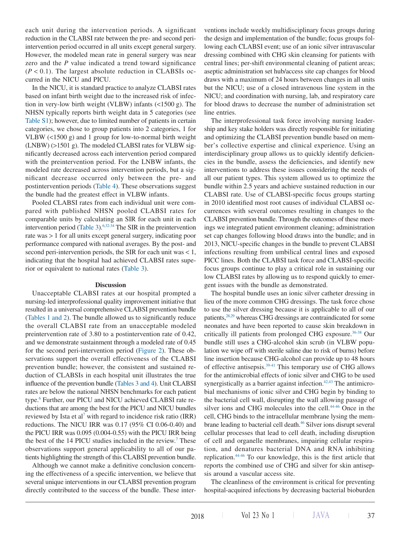each unit during the intervention periods. A significant reduction in the CLABSI rate between the pre- and second periintervention period occurred in all units except general surgery. However, the modeled mean rate in general surgery was near zero and the *P* value indicated a trend toward significance  $(P < 0.1)$ . The largest absolute reduction in CLABSIs occurred in the NICU and PICU.

In the NICU, it is standard practice to analyze CLABSI rates based on infant birth weight due to the increased risk of infection in very-low birth weight (VLBW) infants (<1500 g). The NHSN typically reports birth weight data in 5 categories (see Table S1); however, due to limited number of patients in certain categories, we chose to group patients into 2 categories, 1 for VLBW (<1500 g) and 1 group for low-to-normal birth weight (LNBW) (>1501 g). The modeled CLABSI rates for VLBW significantly decreased across each intervention period compared with the preintervention period. For the LNBW infants, the modeled rate decreased across intervention periods, but a significant decrease occurred only between the pre- and postintervention periods [\(Table 4\)](#page-6-1). These observations suggest the bundle had the greatest effect in VLBW infants.

Pooled CLABSI rates from each individual unit were compared with published NHSN pooled CLABSI rates for comparable units by calculating an SIR for each unit in each intervention period [\(Table 3\)](#page-5-0)[.6,32-34](#page-9-6) The SIR in the preintervention rate was > 1 for all units except general surgery, indicating poor performance compared with national averages. By the post- and second peri-intervention periods, the SIR for each unit was  $< 1$ , indicating that the hospital had achieved CLABSI rates superior or equivalent to national rates [\(Table 3\)](#page-5-0).

#### **Discussion**

Unacceptable CLABSI rates at our hospital prompted a nursing-led interprofessional quality improvement initiative that resulted in a universal comprehensive CLABSI prevention bundle [\(Tables 1 and 2\)](#page-3-0). The bundle allowed us to significantly reduce the overall CLABSI rate from an unacceptable modeled preintervention rate of 3.80 to a postintervention rate of 0.42, and we demonstrate sustainment through a modeled rate of 0.45 for the second peri-intervention period [\(Figure 2\)](#page-6-0). These observations support the overall effectiveness of the CLABSI prevention bundle; however, the consistent and sustained reduction of CLABSIs in each hospital unit illustrates the true influence of the prevention bundle [\(Tables 3 and 4\)](#page-5-0). Unit CLABSI rates are below the national NHSN benchmarks for each patient type[.6](#page-9-6) Further, our PICU and NICU achieved CLABSI rate reductions that are among the best for the PICU and NICU bundles reviewed by Ista et al' with regard to incidence risk ratio (IRR) reductions. The NICU IRR was 0.17 (95% CI 0.06-0.40) and the PICU IRR was 0.095 (0.004-0.55) with the PICU IRR being the best of the 14 PICU studies included in the review.<sup>7</sup> These observations support general applicability to all of our patients highlighting the strength of this CLABSI prevention bundle.

Although we cannot make a definitive conclusion concerning the effectiveness of a specific intervention, we believe that several unique interventions in our CLABSI prevention program directly contributed to the success of the bundle. These interventions include weekly multidisciplinary focus groups during the design and implementation of the bundle; focus groups following each CLABSI event; use of an ionic silver intravascular dressing combined with CHG skin cleansing for patients with central lines; per-shift environmental cleaning of patient areas; aseptic administration set hub/access site cap changes for blood draws with a maximum of 24 hours between changes in all units but the NICU; use of a closed intravenous line system in the NICU; and coordination with nursing, lab, and respiratory care for blood draws to decrease the number of administration set line entries.

The interprofessional task force involving nursing leadership and key stake holders was directly responsible for initiating and optimizing the CLABSI prevention bundle based on member's collective expertise and clinical experience. Using an interdisciplinary group allows us to quickly identify deficiencies in the bundle, assess the deficiencies, and identify new interventions to address these issues considering the needs of all our patient types. This system allowed us to optimize the bundle within 2.5 years and achieve sustained reduction in our CLABSI rate. Use of CLABSI-specific focus groups starting in 2010 identified most root causes of individual CLABSI occurrences with several outcomes resulting in changes to the CLABSI prevention bundle. Through the outcomes of these meetings we integrated patient environment cleaning; administration set cap changes following blood draws into the bundle; and in 2013, NICU-specific changes in the bundle to prevent CLABSI infections resulting from umbilical central lines and exposed PICC lines. Both the CLABSI task force and CLABSI-specific focus groups continue to play a critical role in sustaining our low CLABSI rates by allowing us to respond quickly to emergent issues with the bundle as demonstrated.

The hospital bundle uses an ionic silver catheter dressing in lieu of the more common CHG dressings. The task force chose to use the silver dressing because it is applicable to all of our patients,<sup>28,29</sup> whereas CHG dressings are contraindicated for some neonates and have been reported to cause skin breakdown in critically ill patients from prolonged CHG exposure.<sup>36-38</sup> Our bundle still uses a CHG-alcohol skin scrub (in VLBW population we wipe off with sterile saline due to risk of burns) before line insertion because CHG-alcohol can provide up to 48 hours of effective antisepsis[.39-41](#page-10-9) This temporary use of CHG allows for the antimicrobial effects of ionic silver and CHG to be used synergistically as a barrier against infection. $42,43$  The antimicrobial mechanisms of ionic silver and CHG begin by binding to the bacterial cell wall, disrupting the wall allowing passage of silver ions and CHG molecules into the cell.<sup>44-46</sup> Once in the cell, CHG binds to the intracellular membrane lysing the membrane leading to bacterial cell death.<sup>46</sup> Silver ions disrupt several cellular processes that lead to cell death, including disruption of cell and organelle membranes, impairing cellular respiration, and denatures bacterial DNA and RNA inhibiting replication[.44-46](#page-11-0) To our knowledge, this is the first article that reports the combined use of CHG and silver for skin antisepsis around a vascular access site.

The cleanliness of the environment is critical for preventing hospital-acquired infections by decreasing bacterial bioburden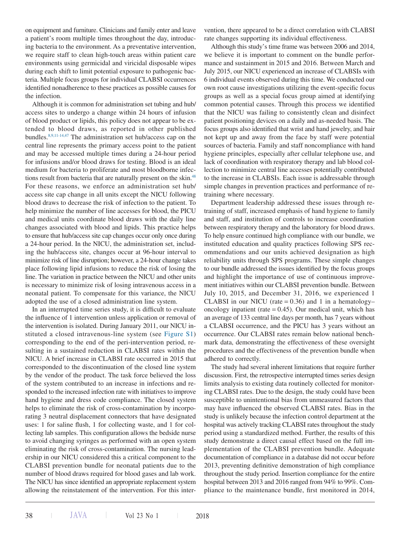on equipment and furniture. Clinicians and family enter and leave a patient's room multiple times throughout the day, introducing bacteria to the environment. As a preventative intervention, we require staff to clean high-touch areas within patient care environments using germicidal and viricidal disposable wipes during each shift to limit potential exposure to pathogenic bacteria. Multiple focus groups for individual CLABSI occurrences identified nonadherence to these practices as possible causes for the infection.

Although it is common for administration set tubing and hub/ access sites to undergo a change within 24 hours of infusion of blood product or lipids, this policy does not appear to be extended to blood draws, as reported in other published bundles[.8,9,11-14,47](#page-9-3) The administration set hub/access cap on the central line represents the primary access point to the patient and may be accessed multiple times during a 24-hour period for infusions and/or blood draws for testing. Blood is an ideal medium for bacteria to proliferate and most bloodborne infections result from bacteria that are naturally present on the skin.<sup>48</sup> For these reasons, we enforce an administration set hub/ access site cap change in all units except the NICU following blood draws to decrease the risk of infection to the patient. To help minimize the number of line accesses for blood, the PICU and medical units coordinate blood draws with the daily line changes associated with blood and lipids. This practice helps to ensure that hub/access site cap changes occur only once during a 24-hour period. In the NICU, the administration set, including the hub/access site, changes occur at 96-hour interval to minimize risk of line disruption; however, a 24-hour change takes place following lipid infusions to reduce the risk of losing the line. The variation in practice between the NICU and other units is necessary to minimize risk of losing intravenous access in a neonatal patient. To compensate for this variance, the NICU adopted the use of a closed administration line system.

In an interrupted time series study, it is difficult to evaluate the influence of 1 intervention unless application or removal of the intervention is isolated. During January 2011, our NICU instituted a closed intravenous-line system (see Figure S1) corresponding to the end of the peri-intervention period, resulting in a sustained reduction in CLABSI rates within the NICU. A brief increase in CLABSI rate occurred in 2015 that corresponded to the discontinuation of the closed line system by the vendor of the product. The task force believed the loss of the system contributed to an increase in infections and responded to the increased infection rate with initiatives to improve hand hygiene and dress code compliance. The closed system helps to eliminate the risk of cross-contamination by incorporating 3 neutral displacement connectors that have designated uses: 1 for saline flush, 1 for collecting waste, and 1 for collecting lab samples. This configuration allows the bedside nurse to avoid changing syringes as performed with an open system eliminating the risk of cross-contamination. The nursing leadership in our NICU considered this a critical component to the CLABSI prevention bundle for neonatal patients due to the number of blood draws required for blood gases and lab work. The NICU has since identified an appropriate replacement system allowing the reinstatement of the intervention. For this inter-

vention, there appeared to be a direct correlation with CLABSI rate changes supporting its individual effectiveness.

Although this study's time frame was between 2006 and 2014, we believe it is important to comment on the bundle performance and sustainment in 2015 and 2016. Between March and July 2015, our NICU experienced an increase of CLABSIs with 6 individual events observed during this time. We conducted our own root cause investigations utilizing the event-specific focus groups as well as a special focus group aimed at identifying common potential causes. Through this process we identified that the NICU was failing to consistently clean and disinfect patient positioning devices on a daily and as-needed basis. The focus groups also identified that wrist and hand jewelry, and hair not kept up and away from the face by staff were potential sources of bacteria. Family and staff noncompliance with hand hygiene principles, especially after cellular telephone use, and lack of coordination with respiratory therapy and lab blood collection to minimize central line accesses potentially contributed to the increase in CLABSIs. Each issue is addressable through simple changes in prevention practices and performance of retraining where necessary.

Department leadership addressed these issues through retraining of staff, increased emphasis of hand hygiene to family and staff, and institution of controls to increase coordination between respiratory therapy and the laboratory for blood draws. To help ensure continued high compliance with our bundle, we instituted education and quality practices following SPS recommendations and our units achieved designation as high reliability units through SPS programs. These simple changes to our bundle addressed the issues identified by the focus groups and highlight the importance of use of continuous improvement initiatives within our CLABSI prevention bundle. Between July 10, 2015, and December 31, 2016, we experienced 1 CLABSI in our NICU (rate  $= 0.36$ ) and 1 in a hematology– oncology inpatient (rate  $= 0.45$ ). Our medical unit, which has an average of 133 central line days per month, has 7 years without a CLABSI occurrence, and the PICU has 3 years without an occurrence. Our CLABSI rates remain below national benchmark data, demonstrating the effectiveness of these oversight procedures and the effectiveness of the prevention bundle when adhered to correctly.

The study had several inherent limitations that require further discussion. First, the retrospective interrupted times series design limits analysis to existing data routinely collected for monitoring CLABSI rates. Due to the design, the study could have been susceptible to unintentional bias from unmeasured factors that may have influenced the observed CLABSI rates. Bias in the study is unlikely because the infection control department at the hospital was actively tracking CLABSI rates throughout the study period using a standardized method. Further, the results of this study demonstrate a direct causal effect based on the full implementation of the CLABSI prevention bundle. Adequate documentation of compliance in a database did not occur before 2013, preventing definitive demonstration of high compliance throughout the study period. Insertion compliance for the entire hospital between 2013 and 2016 ranged from 94% to 99%. Compliance to the maintenance bundle, first monitored in 2014,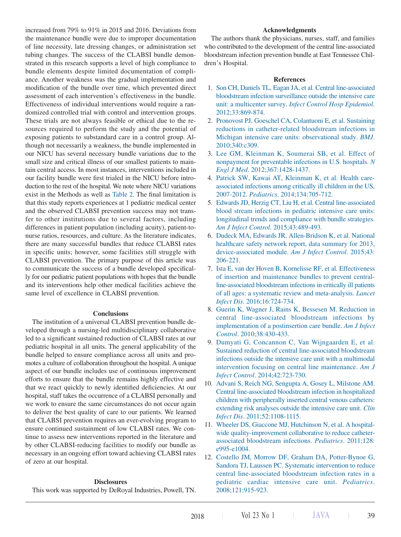increased from 79% to 91% in 2015 and 2016. Deviations from the maintenance bundle were due to improper documentation of line necessity, late dressing changes, or administration set tubing changes. The success of the CLABSI bundle demonstrated in this research supports a level of high compliance to bundle elements despite limited documentation of compliance. Another weakness was the gradual implementation and modification of the bundle over time, which prevented direct assessment of each intervention's effectiveness in the bundle. Effectiveness of individual interventions would require a randomized controlled trial with control and intervention groups. These trials are not always feasible or ethical due to the resources required to perform the study and the potential of exposing patients to substandard care in a control group. Although not necessarily a weakness, the bundle implemented in our NICU has several necessary bundle variations due to the small size and critical illness of our smallest patients to maintain central access. In most instances, interventions included in our facility bundle were first trialed in the NICU before introduction to the rest of the hospital. We note where NICU variations exist in the Methods as well as [Table 2.](#page-4-0) The final limitation is that this study reports experiences at 1 pediatric medical center and the observed CLABSI prevention success may not transfer to other institutions due to several factors, including differences in patient population (including acuity), patient-tonurse ratios, resources, and culture. As the literature indicates, there are many successful bundles that reduce CLABSI rates in specific units; however, some facilities still struggle with CLABSI prevention. The primary purpose of this article was to communicate the success of a bundle developed specifically for our pediatric patient populations with hopes that the bundle and its interventions help other medical facilities achieve the same level of excellence in CLABSI prevention.

# **Conclusions**

The institution of a universal CLABSI prevention bundle developed through a nursing-led multidisciplinary collaborative led to a significant sustained reduction of CLABSI rates at our pediatric hospital in all units. The general applicability of the bundle helped to ensure compliance across all units and promotes a culture of collaboration throughout the hospital. A unique aspect of our bundle includes use of continuous improvement efforts to ensure that the bundle remains highly effective and that we react quickly to newly identified deficiencies. At our hospital, staff takes the occurrence of a CLABSI personally and we work to ensure the same circumstances do not occur again to deliver the best quality of care to our patients. We learned that CLABSI prevention requires an ever-evolving program to ensure continued sustainment of low CLABSI rates. We continue to assess new interventions reported in the literature and by other CLABSI-reducing facilities to modify our bundle as necessary in an ongoing effort toward achieving CLABSI rates of zero at our hospital.

# **Disclosures**

This work was supported by DeRoyal Industries, Powell, TN.

#### **Acknowledgments**

The authors thank the physicians, nurses, staff, and families who contributed to the development of the central line-associated bloodstream infection prevention bundle at East Tennessee Children's Hospital.

# **References**

- <span id="page-9-0"></span>1. [Son CH, Daniels TL, Eagan JA, et al. Central line-associated](http://refhub.elsevier.com/S1552-8855(17)30126-5/sr0010) [bloodstream infection surveillance outside the intensive care](http://refhub.elsevier.com/S1552-8855(17)30126-5/sr0010) unit: a multicenter survey. *[Infect Control Hosp Epidemiol](http://refhub.elsevier.com/S1552-8855(17)30126-5/sr0010)*. [2012;33:869-874.](http://refhub.elsevier.com/S1552-8855(17)30126-5/sr0010)
- 2. [Pronovost PJ, Goeschel CA, Colantuoni E, et al. Sustaining](http://refhub.elsevier.com/S1552-8855(17)30126-5/sr0015) [reductions in catheter-related bloodstream infections in](http://refhub.elsevier.com/S1552-8855(17)30126-5/sr0015) [Michigan intensive care units: observational study.](http://refhub.elsevier.com/S1552-8855(17)30126-5/sr0015) *BMJ*. [2010;340:c309.](http://refhub.elsevier.com/S1552-8855(17)30126-5/sr0015)
- <span id="page-9-1"></span>3. [Lee GM, Kleinman K, Soumerai SB, et al. Effect of](http://refhub.elsevier.com/S1552-8855(17)30126-5/sr0020) [nonpayment for preventable infections in U.S. hospitals.](http://refhub.elsevier.com/S1552-8855(17)30126-5/sr0020) *N Engl J Med*[. 2012;367:1428-1437.](http://refhub.elsevier.com/S1552-8855(17)30126-5/sr0020)
- <span id="page-9-2"></span>4. [Patrick SW, Kawai AT, Kleinman K, et al. Health care](http://refhub.elsevier.com/S1552-8855(17)30126-5/sr0025)[associated infections among critically ill children in the US,](http://refhub.elsevier.com/S1552-8855(17)30126-5/sr0025) 2007-2012. *Pediatrics*[. 2014;134:705-712.](http://refhub.elsevier.com/S1552-8855(17)30126-5/sr0025)
- <span id="page-9-7"></span>5. [Edwards JD, Herzig CT, Liu H, et al. Central line-associated](http://refhub.elsevier.com/S1552-8855(17)30126-5/sr0030) [blood stream infections in pediatric intensive care units:](http://refhub.elsevier.com/S1552-8855(17)30126-5/sr0030) [longitudinal trends and compliance with bundle strategies.](http://refhub.elsevier.com/S1552-8855(17)30126-5/sr0030) *[Am J Infect Control](http://refhub.elsevier.com/S1552-8855(17)30126-5/sr0030)*. 2015;43:489-493.
- <span id="page-9-6"></span>6. [Dudeck MA, Edwards JR, Allen-Bridson K, et al. National](http://refhub.elsevier.com/S1552-8855(17)30126-5/sr0035) [healthcare safety network report, data summary for 2013,](http://refhub.elsevier.com/S1552-8855(17)30126-5/sr0035) [device-associated module.](http://refhub.elsevier.com/S1552-8855(17)30126-5/sr0035) *Am J Infect Control*. 2015;43: [206-221.](http://refhub.elsevier.com/S1552-8855(17)30126-5/sr0035)
- <span id="page-9-5"></span>7. [Ista E, van der Hoven B, Kornelisse RF, et al. Effectiveness](http://refhub.elsevier.com/S1552-8855(17)30126-5/sr0040) [of insertion and maintenance bundles to prevent central](http://refhub.elsevier.com/S1552-8855(17)30126-5/sr0040)[line-associated bloodstream infections in critically ill patients](http://refhub.elsevier.com/S1552-8855(17)30126-5/sr0040) [of all ages: a systematic review and meta-analysis.](http://refhub.elsevier.com/S1552-8855(17)30126-5/sr0040) *Lancet Infect Dis*[. 2016;16:724-734.](http://refhub.elsevier.com/S1552-8855(17)30126-5/sr0040)
- <span id="page-9-3"></span>8. [Guerin K, Wagner J, Rains K, Bessesen M. Reduction in](http://refhub.elsevier.com/S1552-8855(17)30126-5/sr0045) [central line-associated bloodstream infections by](http://refhub.elsevier.com/S1552-8855(17)30126-5/sr0045) [implementation of a postinsertion care bundle.](http://refhub.elsevier.com/S1552-8855(17)30126-5/sr0045) *Am J Infect Control*[. 2010;38:430-433.](http://refhub.elsevier.com/S1552-8855(17)30126-5/sr0045)
- 9. [Dumyati G, Concannon C, Van Wijngaarden E, et al.](http://refhub.elsevier.com/S1552-8855(17)30126-5/sr0050) [Sustained reduction of central line-associated bloodstream](http://refhub.elsevier.com/S1552-8855(17)30126-5/sr0050) [infections outside the intensive care unit with a multimodal](http://refhub.elsevier.com/S1552-8855(17)30126-5/sr0050) [intervention focusing on central line maintenance.](http://refhub.elsevier.com/S1552-8855(17)30126-5/sr0050) *Am J Infect Control*[. 2014;42:723-730.](http://refhub.elsevier.com/S1552-8855(17)30126-5/sr0050)
- 10. [Advani S, Reich NG, Sengupta A, Gosey L, Milstone AM.](http://refhub.elsevier.com/S1552-8855(17)30126-5/sr0055) [Central line-associated bloodstream infection in hospitalized](http://refhub.elsevier.com/S1552-8855(17)30126-5/sr0055) [children with peripherally inserted central venous catheters:](http://refhub.elsevier.com/S1552-8855(17)30126-5/sr0055) [extending risk analyses outside the intensive care unit.](http://refhub.elsevier.com/S1552-8855(17)30126-5/sr0055) *Clin Infect Dis*[. 2011;52:1108-1115.](http://refhub.elsevier.com/S1552-8855(17)30126-5/sr0055)
- 11. [Wheeler DS, Giaccone MJ, Hutchinson N, et al. A hospital](http://refhub.elsevier.com/S1552-8855(17)30126-5/sr0060)[wide quality-improvement collaborative to reduce catheter](http://refhub.elsevier.com/S1552-8855(17)30126-5/sr0060)[associated bloodstream infections.](http://refhub.elsevier.com/S1552-8855(17)30126-5/sr0060) *Pediatrics*. 2011;128: [e995-e1004.](http://refhub.elsevier.com/S1552-8855(17)30126-5/sr0060)
- <span id="page-9-4"></span>12. [Costello JM, Morrow DF, Graham DA, Potter-Bynoe G,](http://refhub.elsevier.com/S1552-8855(17)30126-5/sr0065) [Sandora TJ, Laussen PC. Systematic intervention to reduce](http://refhub.elsevier.com/S1552-8855(17)30126-5/sr0065) [central line-associated bloodstream infection rates in a](http://refhub.elsevier.com/S1552-8855(17)30126-5/sr0065) [pediatric cardiac intensive care unit.](http://refhub.elsevier.com/S1552-8855(17)30126-5/sr0065) *Pediatrics*. [2008;121:915-923.](http://refhub.elsevier.com/S1552-8855(17)30126-5/sr0065)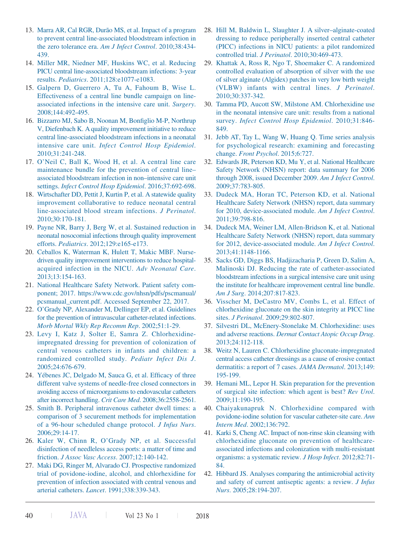- 13. [Marra AR, Cal RGR, Durão MS, et al. Impact of a program](http://refhub.elsevier.com/S1552-8855(17)30126-5/sr0070) [to prevent central line-associated bloodstream infection in](http://refhub.elsevier.com/S1552-8855(17)30126-5/sr0070) [the zero tolerance era.](http://refhub.elsevier.com/S1552-8855(17)30126-5/sr0070) *Am J Infect Control*. 2010;38:434- [439.](http://refhub.elsevier.com/S1552-8855(17)30126-5/sr0070)
- 14. [Miller MR, Niedner MF, Huskins WC, et al. Reducing](http://refhub.elsevier.com/S1552-8855(17)30126-5/sr0075) [PICU central line-associated bloodstream infections: 3-year](http://refhub.elsevier.com/S1552-8855(17)30126-5/sr0075) results. *Pediatrics*[. 2011;128:e1077-e1083.](http://refhub.elsevier.com/S1552-8855(17)30126-5/sr0075)
- 15. [Galpern D, Guerrero A, Tu A, Fahoum B, Wise L.](http://refhub.elsevier.com/S1552-8855(17)30126-5/sr0080) [Effectiveness of a central line bundle campaign on line](http://refhub.elsevier.com/S1552-8855(17)30126-5/sr0080)[associated infections in the intensive care unit.](http://refhub.elsevier.com/S1552-8855(17)30126-5/sr0080) *Surgery*. [2008;144:492-495.](http://refhub.elsevier.com/S1552-8855(17)30126-5/sr0080)
- 16. [Bizzarro MJ, Sabo B, Noonan M, Bonfiglio M-P, Northrup](http://refhub.elsevier.com/S1552-8855(17)30126-5/sr0085) [V, Diefenbach K. A quality improvement initiative to reduce](http://refhub.elsevier.com/S1552-8855(17)30126-5/sr0085) [central line-associated bloodstream infections in a neonatal](http://refhub.elsevier.com/S1552-8855(17)30126-5/sr0085) intensive care unit. *[Infect Control Hosp Epidemiol](http://refhub.elsevier.com/S1552-8855(17)30126-5/sr0085)*. [2010;31:241-248.](http://refhub.elsevier.com/S1552-8855(17)30126-5/sr0085)
- 17. [O'Neil C, Ball K, Wood H, et al. A central line care](http://refhub.elsevier.com/S1552-8855(17)30126-5/sr0090) [maintenance bundle for the prevention of central line–](http://refhub.elsevier.com/S1552-8855(17)30126-5/sr0090) [associated bloodstream infection in non–intensive care unit](http://refhub.elsevier.com/S1552-8855(17)30126-5/sr0090) settings. *[Infect Control Hosp Epidemiol](http://refhub.elsevier.com/S1552-8855(17)30126-5/sr0090)*. 2016;37:692-698.
- 18. [Wirtschafter DD, Pettit J, Kurtin P, et al. A statewide quality](http://refhub.elsevier.com/S1552-8855(17)30126-5/sr0095) [improvement collaborative to reduce neonatal central](http://refhub.elsevier.com/S1552-8855(17)30126-5/sr0095) [line-associated blood stream infections.](http://refhub.elsevier.com/S1552-8855(17)30126-5/sr0095) *J Perinatol*. [2010;30:170-181.](http://refhub.elsevier.com/S1552-8855(17)30126-5/sr0095)
- 19. [Payne NR, Barry J, Berg W, et al. Sustained reduction in](http://refhub.elsevier.com/S1552-8855(17)30126-5/sr0100) [neonatal nosocomial infections through quality improvement](http://refhub.elsevier.com/S1552-8855(17)30126-5/sr0100) efforts. *Pediatrics*[. 2012;129:e165-e173.](http://refhub.elsevier.com/S1552-8855(17)30126-5/sr0100)
- 20. [Ceballos K, Waterman K, Hulett T, Makic MBF. Nurse](http://refhub.elsevier.com/S1552-8855(17)30126-5/sr0105)[driven quality improvement interventions to reduce hospital](http://refhub.elsevier.com/S1552-8855(17)30126-5/sr0105)[acquired infection in the NICU.](http://refhub.elsevier.com/S1552-8855(17)30126-5/sr0105) *Adv Neonatal Care*. [2013;13:154-163.](http://refhub.elsevier.com/S1552-8855(17)30126-5/sr0105)
- <span id="page-10-0"></span>21. [National Healthcare Safety Network. Patient safety com](http://refhub.elsevier.com/S1552-8855(17)30126-5/sr0110)ponent; 2017. [https://www.cdc.gov/nhsn/pdfs/pscmanual/](https://www.cdc.gov/nhsn/pdfs/pscmanual/pcsmanual_current.pdf) [pcsmanual\\_current.pdf.](https://www.cdc.gov/nhsn/pdfs/pscmanual/pcsmanual_current.pdf) Accessed September 22, 2017.
- <span id="page-10-1"></span>22. [O'Grady NP, Alexander M, Dellinger EP, et al. Guidelines](http://refhub.elsevier.com/S1552-8855(17)30126-5/sr0115) [for the prevention of intravascular catheter-related infections.](http://refhub.elsevier.com/S1552-8855(17)30126-5/sr0115) *[Morb Mortal Wkly Rep Recomm Rep](http://refhub.elsevier.com/S1552-8855(17)30126-5/sr0115)*. 2002;51:1-29.
- <span id="page-10-2"></span>23. [Levy I, Katz J, Solter E, Samra Z. Chlorhexidine](http://refhub.elsevier.com/S1552-8855(17)30126-5/sr0120)[impregnated dressing for prevention of colonization of](http://refhub.elsevier.com/S1552-8855(17)30126-5/sr0120) [central venous catheters in infants and children: a](http://refhub.elsevier.com/S1552-8855(17)30126-5/sr0120) [randomized controlled study.](http://refhub.elsevier.com/S1552-8855(17)30126-5/sr0120) *Pediatr Infect Dis J*. [2005;24:676-679.](http://refhub.elsevier.com/S1552-8855(17)30126-5/sr0120)
- 24. [Yébenes JC, Delgado M, Sauca G, et al. Efficacy of three](http://refhub.elsevier.com/S1552-8855(17)30126-5/sr0125) [different valve systems of needle-free closed connectors in](http://refhub.elsevier.com/S1552-8855(17)30126-5/sr0125) [avoiding access of microorganisms to endovascular catheters](http://refhub.elsevier.com/S1552-8855(17)30126-5/sr0125) [after incorrect handling.](http://refhub.elsevier.com/S1552-8855(17)30126-5/sr0125) *Crit Care Med*. 2008;36:2558-2561.
- 25. [Smith B. Peripheral intravenous catheter dwell times: a](http://refhub.elsevier.com/S1552-8855(17)30126-5/sr0130) [comparison of 3 securement methods for implementation](http://refhub.elsevier.com/S1552-8855(17)30126-5/sr0130) [of a 96-hour scheduled change protocol.](http://refhub.elsevier.com/S1552-8855(17)30126-5/sr0130) *J Infus Nurs*. [2006;29:14-17.](http://refhub.elsevier.com/S1552-8855(17)30126-5/sr0130)
- 26. [Kaler W, Chinn R, O'Grady NP, et al. Successful](http://refhub.elsevier.com/S1552-8855(17)30126-5/sr0135) [disinfection of needleless access ports: a matter of time and](http://refhub.elsevier.com/S1552-8855(17)30126-5/sr0135) friction. *[J Assoc Vasc Access](http://refhub.elsevier.com/S1552-8855(17)30126-5/sr0135)*. 2007;12:140-142.
- 27. [Maki DG, Ringer M, Alvarado CJ. Prospective randomized](http://refhub.elsevier.com/S1552-8855(17)30126-5/sr0140) [trial of povidone-iodine, alcohol, and chlorhexidine for](http://refhub.elsevier.com/S1552-8855(17)30126-5/sr0140) [prevention of infection associated with central venous and](http://refhub.elsevier.com/S1552-8855(17)30126-5/sr0140) arterial catheters. *Lancet*[. 1991;338:339-343.](http://refhub.elsevier.com/S1552-8855(17)30126-5/sr0140)
- <span id="page-10-7"></span>28. [Hill M, Baldwin L, Slaughter J. A silver–alginate-coated](http://refhub.elsevier.com/S1552-8855(17)30126-5/sr0145) [dressing to reduce peripherally inserted central catheter](http://refhub.elsevier.com/S1552-8855(17)30126-5/sr0145) [\(PICC\) infections in NICU patients: a pilot randomized](http://refhub.elsevier.com/S1552-8855(17)30126-5/sr0145) controlled trial. *J Perinatol*[. 2010;30:469-473.](http://refhub.elsevier.com/S1552-8855(17)30126-5/sr0145)
- 29. [Khattak A, Ross R, Ngo T, Shoemaker C. A randomized](http://refhub.elsevier.com/S1552-8855(17)30126-5/sr0150) [controlled evaluation of absorption of silver with the use](http://refhub.elsevier.com/S1552-8855(17)30126-5/sr0150) [of silver alginate \(Algidex\) patches in very low birth weight](http://refhub.elsevier.com/S1552-8855(17)30126-5/sr0150) [\(VLBW\) infants with central lines.](http://refhub.elsevier.com/S1552-8855(17)30126-5/sr0150) *J Perinatol*. [2010;30:337-342.](http://refhub.elsevier.com/S1552-8855(17)30126-5/sr0150)
- <span id="page-10-3"></span>30. [Tamma PD, Aucott SW, Milstone AM. Chlorhexidine use](http://refhub.elsevier.com/S1552-8855(17)30126-5/sr0155) [in the neonatal intensive care unit: results from a national](http://refhub.elsevier.com/S1552-8855(17)30126-5/sr0155) survey. *[Infect Control Hosp Epidemiol](http://refhub.elsevier.com/S1552-8855(17)30126-5/sr0155)*. 2010;31:846- [849.](http://refhub.elsevier.com/S1552-8855(17)30126-5/sr0155)
- 31. [Jebb AT, Tay L, Wang W, Huang Q. Time series analysis](http://refhub.elsevier.com/S1552-8855(17)30126-5/sr0160) [for psychological research: examining and forecasting](http://refhub.elsevier.com/S1552-8855(17)30126-5/sr0160) change. *[Front Psychol](http://refhub.elsevier.com/S1552-8855(17)30126-5/sr0160)*. 2015;6:727.
- 32. [Edwards JR, Peterson KD, Mu Y, et al. National Healthcare](http://refhub.elsevier.com/S1552-8855(17)30126-5/sr0165) [Safety Network \(NHSN\) report: data summary for 2006](http://refhub.elsevier.com/S1552-8855(17)30126-5/sr0165) [through 2008, issued December 2009.](http://refhub.elsevier.com/S1552-8855(17)30126-5/sr0165) *Am J Infect Control*. [2009;37:783-805.](http://refhub.elsevier.com/S1552-8855(17)30126-5/sr0165)
- <span id="page-10-6"></span><span id="page-10-5"></span><span id="page-10-4"></span>33. [Dudeck MA, Horan TC, Peterson KD, et al. National](http://refhub.elsevier.com/S1552-8855(17)30126-5/sr0170) [Healthcare Safety Network \(NHSN\) report, data summary](http://refhub.elsevier.com/S1552-8855(17)30126-5/sr0170) [for 2010, device-associated module.](http://refhub.elsevier.com/S1552-8855(17)30126-5/sr0170) *Am J Infect Control*. [2011;39:798-816.](http://refhub.elsevier.com/S1552-8855(17)30126-5/sr0170)
- 34. [Dudeck MA, Weiner LM, Allen-Bridson K, et al. National](http://refhub.elsevier.com/S1552-8855(17)30126-5/sr0175) [Healthcare Safety Network \(NHSN\) report, data summary](http://refhub.elsevier.com/S1552-8855(17)30126-5/sr0175) [for 2012, device-associated module.](http://refhub.elsevier.com/S1552-8855(17)30126-5/sr0175) *Am J Infect Control*. [2013;41:1148-1166.](http://refhub.elsevier.com/S1552-8855(17)30126-5/sr0175)
- 35. [Sacks GD, Diggs BS, Hadjizacharia P, Green D, Salim A,](http://refhub.elsevier.com/S1552-8855(17)30126-5/sr0180) [Malinoski DJ. Reducing the rate of catheter-associated](http://refhub.elsevier.com/S1552-8855(17)30126-5/sr0180) [bloodstream infections in a surgical intensive care unit using](http://refhub.elsevier.com/S1552-8855(17)30126-5/sr0180) [the institute for healthcare improvement central line bundle.](http://refhub.elsevier.com/S1552-8855(17)30126-5/sr0180) *Am J Surg*[. 2014;207:817-823.](http://refhub.elsevier.com/S1552-8855(17)30126-5/sr0180)
- <span id="page-10-8"></span>36. [Visscher M, DeCastro MV, Combs L, et al. Effect of](http://refhub.elsevier.com/S1552-8855(17)30126-5/sr0185) [chlorhexidine gluconate on the skin integrity at PICC line](http://refhub.elsevier.com/S1552-8855(17)30126-5/sr0185) sites. *J Perinatol*[. 2009;29:802-807.](http://refhub.elsevier.com/S1552-8855(17)30126-5/sr0185)
- 37. [Silvestri DL, McEnery-Stonelake M. Chlorhexidine: uses](http://refhub.elsevier.com/S1552-8855(17)30126-5/sr0190) and adverse reactions. *[Dermat Contact Atopic Occup Drug](http://refhub.elsevier.com/S1552-8855(17)30126-5/sr0190)*. [2013;24:112-118.](http://refhub.elsevier.com/S1552-8855(17)30126-5/sr0190)
- 38. [Weitz N, Lauren C. Chlorhexidine gluconate-impregnated](http://refhub.elsevier.com/S1552-8855(17)30126-5/sr0195) [central access catheter dressings as a cause of erosive contact](http://refhub.elsevier.com/S1552-8855(17)30126-5/sr0195) [dermatitis: a report of 7 cases.](http://refhub.elsevier.com/S1552-8855(17)30126-5/sr0195) *JAMA Dermatol*. 2013;149: [195-199.](http://refhub.elsevier.com/S1552-8855(17)30126-5/sr0195)
- <span id="page-10-9"></span>39. [Hemani ML, Lepor H. Skin preparation for the prevention](http://refhub.elsevier.com/S1552-8855(17)30126-5/sr0200) [of surgical site infection: which agent is best?](http://refhub.elsevier.com/S1552-8855(17)30126-5/sr0200) *Rev Urol*. [2009;11:190-195.](http://refhub.elsevier.com/S1552-8855(17)30126-5/sr0200)
- 40. [Chaiyakunapruk N. Chlorhexidine compared with](http://refhub.elsevier.com/S1552-8855(17)30126-5/sr0205) [povidone-iodine solution for vascular catheter-site care.](http://refhub.elsevier.com/S1552-8855(17)30126-5/sr0205) *Ann Intern Med*[. 2002;136:792.](http://refhub.elsevier.com/S1552-8855(17)30126-5/sr0205)
- 41. [Karki S, Cheng AC. Impact of non-rinse skin cleansing with](http://refhub.elsevier.com/S1552-8855(17)30126-5/sr0210) [chlorhexidine gluconate on prevention of healthcare](http://refhub.elsevier.com/S1552-8855(17)30126-5/sr0210)[associated infections and colonization with multi-resistant](http://refhub.elsevier.com/S1552-8855(17)30126-5/sr0210) [organisms: a systematic review.](http://refhub.elsevier.com/S1552-8855(17)30126-5/sr0210) *J Hosp Infect*. 2012;82:71- [84.](http://refhub.elsevier.com/S1552-8855(17)30126-5/sr0210)
- <span id="page-10-10"></span>42. [Hibbard JS. Analyses comparing the antimicrobial activity](http://refhub.elsevier.com/S1552-8855(17)30126-5/sr0215) [and safety of current antiseptic agents: a review.](http://refhub.elsevier.com/S1552-8855(17)30126-5/sr0215) *J Infus Nurs*[. 2005;28:194-207.](http://refhub.elsevier.com/S1552-8855(17)30126-5/sr0215)